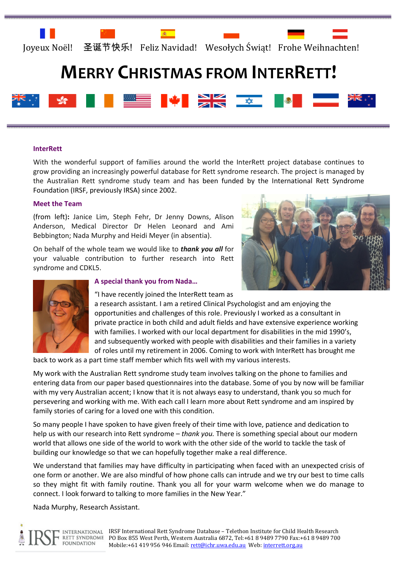

# **MERRY CHRISTMAS FROM INTERRETT!**



#### **InterRett**

With the wonderful support of families around the world the InterRett project database continues to grow providing an increasingly powerful database for Rett syndrome research. The project is managed by the Australian Rett syndrome study team and has been funded by the International Rett Syndrome Foundation (IRSF, previously IRSA) since 2002.

#### Meet the Team

(from left): Janice Lim, Steph Fehr, Dr Jenny Downs, Alison Anderson, Medical Director Dr Helen Leonard and Ami Bebbington; Nada Murphy and Heidi Meyer (in absentia).

On behalf of the whole team we would like to **thank you all** for your valuable contribution to further research into Rett syndrome and CDKL5.





#### A special thank you from Nada…

"I have recently joined the InterRett team as

a research assistant. I am a retired Clinical Psychologist and am enjoying the opportunities and challenges of this role. Previously I worked as a consultant in private practice in both child and adult fields and have extensive experience working with families. I worked with our local department for disabilities in the mid 1990's, and subsequently worked with people with disabilities and their families in a variety of roles until my retirement in 2006. Coming to work with InterRett has brought me

back to work as a part time staff member which fits well with my various interests.

My work with the Australian Rett syndrome study team involves talking on the phone to families and entering data from our paper based questionnaires into the database. Some of you by now will be familiar with my very Australian accent; I know that it is not always easy to understand, thank you so much for persevering and working with me. With each call I learn more about Rett syndrome and am inspired by family stories of caring for a loved one with this condition.

So many people I have spoken to have given freely of their time with love, patience and dedication to help us with our research into Rett syndrome - thank you. There is something special about our modern world that allows one side of the world to work with the other side of the world to tackle the task of building our knowledge so that we can hopefully together make a real difference.

We understand that families may have difficulty in participating when faced with an unexpected crisis of one form or another. We are also mindful of how phone calls can intrude and we try our best to time calls so they might fit with family routine. Thank you all for your warm welcome when we do manage to connect. I look forward to talking to more families in the New Year."

Nada Murphy, Research Assistant.

**INTERNATIONAL** RETT SYNDROME **FOUNDATION**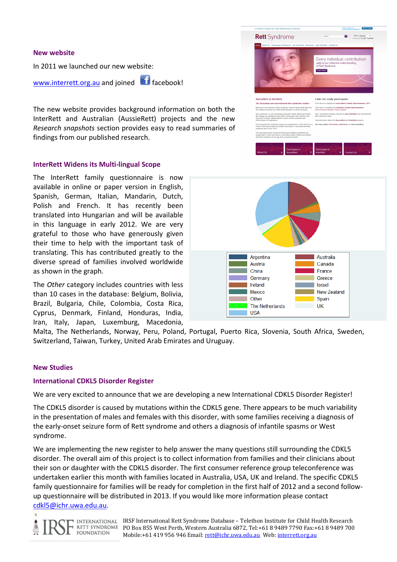#### New website

In 2011 we launched our new website:

www.interrett.org.au and joined **in the facebook!** 

The new website provides background information on both the InterRett and Australian (AussieRett) projects and the new Research snapshots section provides easy to read summaries of findings from our published research.

#### InterRett Widens its Multi-lingual Scope

The InterRett family questionnaire is now available in online or paper version in English, Spanish, German, Italian, Mandarin, Dutch, Polish and French. It has recently been translated into Hungarian and will be available in this language in early 2012. We are very grateful to those who have generously given their time to help with the important task of translating. This has contributed greatly to the diverse spread of families involved worldwide as shown in the graph.

The Other category includes countries with less than 10 cases in the database: Belgium, Bolivia, Brazil, Bulgaria, Chile, Colombia, Costa Rica, Cyprus, Denmark, Finland, Honduras, India,

Argentina Australia Austria Canada

China

Ireland

**Mexico** 

Other

**USA** 

The Netherlands

Germany

Iran, Italy, Japan, Luxemburg, Macedonia, Malta, The Netherlands, Norway, Peru, Poland, Portugal, Puerto Rica, Slovenia, South Africa, Sweden, Switzerland, Taiwan, Turkey, United Arab Emirates and Uruguay.

#### New Studies

#### International CDKL5 Disorder Register

We are very excited to announce that we are developing a new International CDKL5 Disorder Register!

The CDKL5 disorder is caused by mutations within the CDKL5 gene. There appears to be much variability in the presentation of males and females with this disorder, with some families receiving a diagnosis of the early-onset seizure form of Rett syndrome and others a diagnosis of infantile spasms or West syndrome.

We are implementing the new register to help answer the many questions still surrounding the CDKL5 disorder. The overall aim of this project is to collect information from families and their clinicians about their son or daughter with the CDKL5 disorder. The first consumer reference group teleconference was undertaken earlier this month with families located in Australia, USA, UK and Ireland. The specific CDKL5 family questionnaire for families will be ready for completion in the first half of 2012 and a second followup questionnaire will be distributed in 2013. If you would like more information please contact cdkl5@ichr.uwa.edu.au.

**RETT SYNDROME FOUNDATION** 

IRSF International Rett Syndrome Database – Telethon Institute for Child Health Research PO Box 855 West Perth, Western Australia 6872, Tel:+61 8 9489 7790 Fax:+61 8 9489 700 Mobile:+61 419 956 946 Email: rett@ichr.uwa.edu.au Web: interrett.org.au



France

Greece

New Zealand

**Israel** 

Spain **UK** 



# *<u>Australian</u>* and International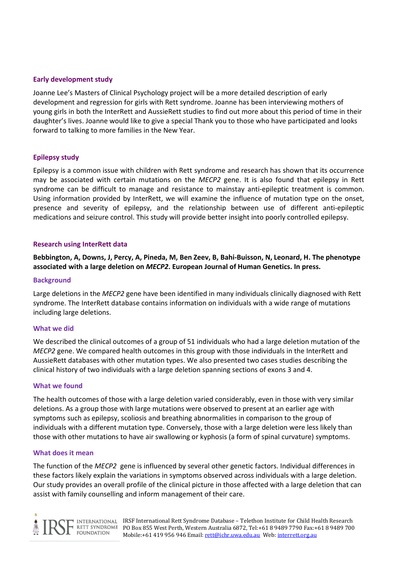#### Early development study

Joanne Lee's Masters of Clinical Psychology project will be a more detailed description of early development and regression for girls with Rett syndrome. Joanne has been interviewing mothers of young girls in both the InterRett and AussieRett studies to find out more about this period of time in their daughter's lives. Joanne would like to give a special Thank you to those who have participated and looks forward to talking to more families in the New Year.

## Epilepsy study

Epilepsy is a common issue with children with Rett syndrome and research has shown that its occurrence may be associated with certain mutations on the MECP2 gene. It is also found that epilepsy in Rett syndrome can be difficult to manage and resistance to mainstay anti-epileptic treatment is common. Using information provided by InterRett, we will examine the influence of mutation type on the onset, presence and severity of epilepsy, and the relationship between use of different anti-epileptic medications and seizure control. This study will provide better insight into poorly controlled epilepsy.

#### Research using InterRett data

Bebbington, A, Downs, J, Percy, A, Pineda, M, Ben Zeev, B, Bahi-Buisson, N, Leonard, H. The phenotype associated with a large deletion on MECP2. European Journal of Human Genetics. In press.

#### **Background**

Large deletions in the MECP2 gene have been identified in many individuals clinically diagnosed with Rett syndrome. The InterRett database contains information on individuals with a wide range of mutations including large deletions.

#### What we did

We described the clinical outcomes of a group of 51 individuals who had a large deletion mutation of the MECP2 gene. We compared health outcomes in this group with those individuals in the InterRett and AussieRett databases with other mutation types. We also presented two cases studies describing the clinical history of two individuals with a large deletion spanning sections of exons 3 and 4.

#### What we found

The health outcomes of those with a large deletion varied considerably, even in those with very similar deletions. As a group those with large mutations were observed to present at an earlier age with symptoms such as epilepsy, scoliosis and breathing abnormalities in comparison to the group of individuals with a different mutation type. Conversely, those with a large deletion were less likely than those with other mutations to have air swallowing or kyphosis (a form of spinal curvature) symptoms.

#### What does it mean

The function of the MECP2 gene is influenced by several other genetic factors. Individual differences in these factors likely explain the variations in symptoms observed across individuals with a large deletion. Our study provides an overall profile of the clinical picture in those affected with a large deletion that can assist with family counselling and inform management of their care.

**FOUNDATION**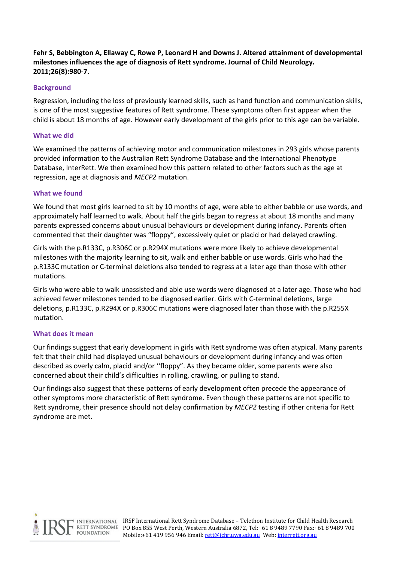Fehr S, Bebbington A, Ellaway C, Rowe P, Leonard H and Downs J. Altered attainment of developmental milestones influences the age of diagnosis of Rett syndrome. Journal of Child Neurology. 2011;26(8):980-7.

# **Background**

Regression, including the loss of previously learned skills, such as hand function and communication skills, is one of the most suggestive features of Rett syndrome. These symptoms often first appear when the child is about 18 months of age. However early development of the girls prior to this age can be variable.

## What we did

We examined the patterns of achieving motor and communication milestones in 293 girls whose parents provided information to the Australian Rett Syndrome Database and the International Phenotype Database, InterRett. We then examined how this pattern related to other factors such as the age at regression, age at diagnosis and MECP2 mutation.

## What we found

We found that most girls learned to sit by 10 months of age, were able to either babble or use words, and approximately half learned to walk. About half the girls began to regress at about 18 months and many parents expressed concerns about unusual behaviours or development during infancy. Parents often commented that their daughter was "floppy", excessively quiet or placid or had delayed crawling.

Girls with the p.R133C, p.R306C or p.R294X mutations were more likely to achieve developmental milestones with the majority learning to sit, walk and either babble or use words. Girls who had the p.R133C mutation or C-terminal deletions also tended to regress at a later age than those with other mutations.

Girls who were able to walk unassisted and able use words were diagnosed at a later age. Those who had achieved fewer milestones tended to be diagnosed earlier. Girls with C-terminal deletions, large deletions, p.R133C, p.R294X or p.R306C mutations were diagnosed later than those with the p.R255X mutation.

#### What does it mean

Our findings suggest that early development in girls with Rett syndrome was often atypical. Many parents felt that their child had displayed unusual behaviours or development during infancy and was often described as overly calm, placid and/or ''floppy". As they became older, some parents were also concerned about their child's difficulties in rolling, crawling, or pulling to stand.

Our findings also suggest that these patterns of early development often precede the appearance of other symptoms more characteristic of Rett syndrome. Even though these patterns are not specific to Rett syndrome, their presence should not delay confirmation by MECP2 testing if other criteria for Rett syndrome are met.

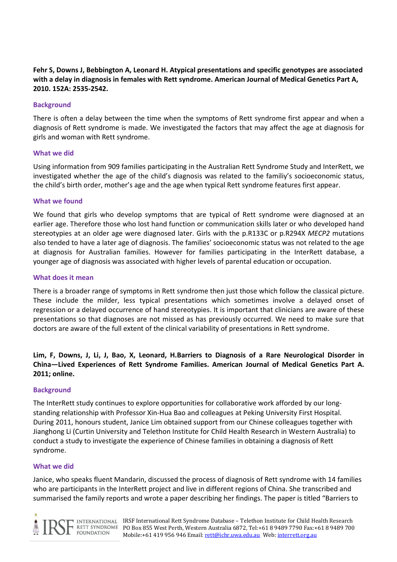# Fehr S, Downs J, Bebbington A, Leonard H. Atypical presentations and specific genotypes are associated with a delay in diagnosis in females with Rett syndrome. American Journal of Medical Genetics Part A, 2010. 152A: 2535-2542.

# **Background**

There is often a delay between the time when the symptoms of Rett syndrome first appear and when a diagnosis of Rett syndrome is made. We investigated the factors that may affect the age at diagnosis for girls and woman with Rett syndrome.

#### What we did

Using information from 909 families participating in the Australian Rett Syndrome Study and InterRett, we investigated whether the age of the child's diagnosis was related to the familiy's socioeconomic status, the child's birth order, mother's age and the age when typical Rett syndrome features first appear.

## What we found

We found that girls who develop symptoms that are typical of Rett syndrome were diagnosed at an earlier age. Therefore those who lost hand function or communication skills later or who developed hand stereotypies at an older age were diagnosed later. Girls with the p.R133C or p.R294X MECP2 mutations also tended to have a later age of diagnosis. The families' socioeconomic status was not related to the age at diagnosis for Australian families. However for families participating in the InterRett database, a younger age of diagnosis was associated with higher levels of parental education or occupation.

## What does it mean

There is a broader range of symptoms in Rett syndrome then just those which follow the classical picture. These include the milder, less typical presentations which sometimes involve a delayed onset of regression or a delayed occurrence of hand stereotypies. It is important that clinicians are aware of these presentations so that diagnoses are not missed as has previously occurred. We need to make sure that doctors are aware of the full extent of the clinical variability of presentations in Rett syndrome.

Lim, F, Downs, J, Li, J, Bao, X, Leonard, H.Barriers to Diagnosis of a Rare Neurological Disorder in China—Lived Experiences of Rett Syndrome Families. American Journal of Medical Genetics Part A. 2011; online.

# **Background**

The InterRett study continues to explore opportunities for collaborative work afforded by our longstanding relationship with Professor Xin-Hua Bao and colleagues at Peking University First Hospital. During 2011, honours student, Janice Lim obtained support from our Chinese colleagues together with Jianghong Li (Curtin University and Telethon Institute for Child Health Research in Western Australia) to conduct a study to investigate the experience of Chinese families in obtaining a diagnosis of Rett syndrome.

#### What we did

Janice, who speaks fluent Mandarin, discussed the process of diagnosis of Rett syndrome with 14 families who are participants in the InterRett project and live in different regions of China. She transcribed and summarised the family reports and wrote a paper describing her findings. The paper is titled "Barriers to

**FOUNDATION**